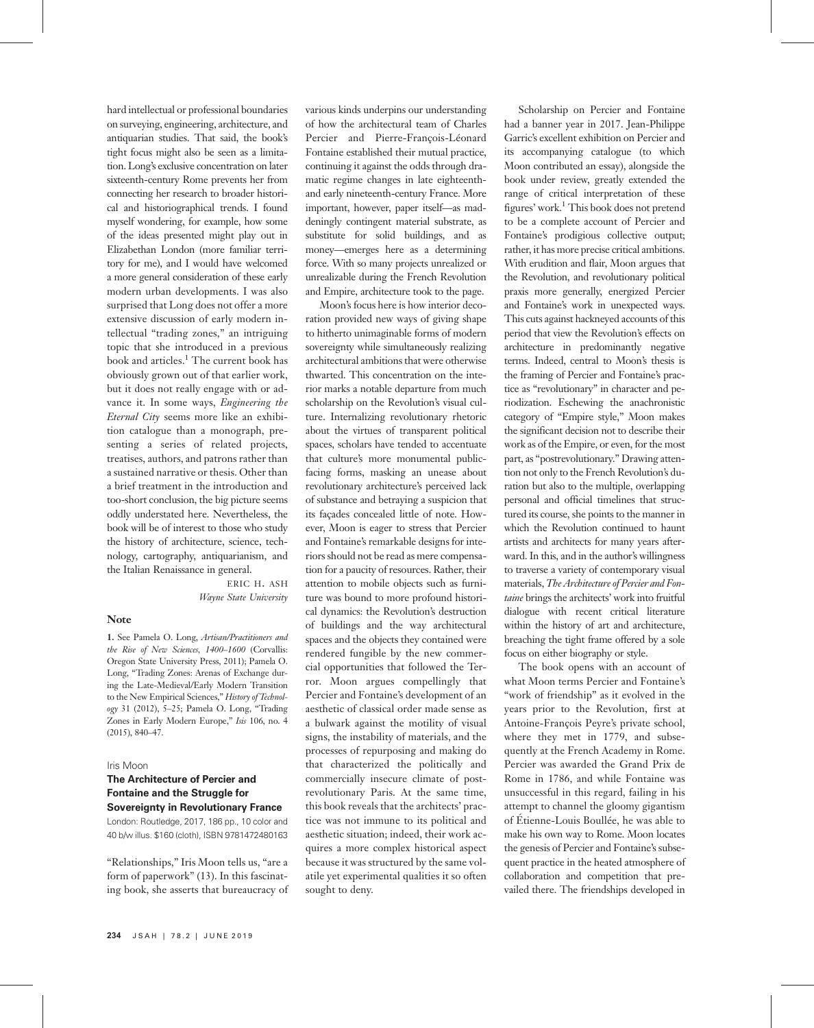hard intellectual or professional boundaries on surveying, engineering, architecture, and antiquarian studies. That said, the book's tight focus might also be seen as a limitation. Long's exclusive concentration on later sixteenth-century Rome prevents her from connecting her research to broader historical and historiographical trends. I found myself wondering, for example, how some of the ideas presented might play out in Elizabethan London (more familiar territory for me), and I would have welcomed a more general consideration of these early modern urban developments. I was also surprised that Long does not offer a more extensive discussion of early modern intellectual "trading zones," an intriguing topic that she introduced in a previous book and articles.<sup>1</sup> The current book has obviously grown out of that earlier work, but it does not really engage with or advance it. In some ways, Engineering the Eternal City seems more like an exhibition catalogue than a monograph, presenting a series of related projects, treatises, authors, and patrons rather than a sustained narrative or thesis. Other than a brief treatment in the introduction and too-short conclusion, the big picture seems oddly understated here. Nevertheless, the book will be of interest to those who study the history of architecture, science, technology, cartography, antiquarianism, and the Italian Renaissance in general.

> ERIC H. ASH Wayne State University

#### Note

1. See Pamela O. Long, Artisan/Practitioners and the Rise of New Sciences, 1400–1600 (Corvallis: Oregon State University Press, 2011); Pamela O. Long, "Trading Zones: Arenas of Exchange during the Late-Medieval/Early Modern Transition to the New Empirical Sciences," History of Technology 31 (2012), 5–25; Pamela O. Long, "Trading Zones in Early Modern Europe," Isis 106, no. 4 (2015), 840–47.

#### Iris Moon

## The Architecture of Percier and Fontaine and the Struggle for Sovereignty in Revolutionary France

London: Routledge, 2017, 186 pp., 10 color and 40 b/w illus. \$160 (cloth), ISBN 9781472480163

"Relationships," Iris Moon tells us, "are a form of paperwork" (13). In this fascinating book, she asserts that bureaucracy of various kinds underpins our understanding of how the architectural team of Charles Percier and Pierre-François-Léonard Fontaine established their mutual practice, continuing it against the odds through dramatic regime changes in late eighteenthand early nineteenth-century France. More important, however, paper itself—as maddeningly contingent material substrate, as substitute for solid buildings, and as money—emerges here as a determining force. With so many projects unrealized or unrealizable during the French Revolution and Empire, architecture took to the page.

Moon's focus here is how interior decoration provided new ways of giving shape to hitherto unimaginable forms of modern sovereignty while simultaneously realizing architectural ambitions that were otherwise thwarted. This concentration on the interior marks a notable departure from much scholarship on the Revolution's visual culture. Internalizing revolutionary rhetoric about the virtues of transparent political spaces, scholars have tended to accentuate that culture's more monumental publicfacing forms, masking an unease about revolutionary architecture's perceived lack of substance and betraying a suspicion that its façades concealed little of note. However, Moon is eager to stress that Percier and Fontaine's remarkable designs for interiors should not be read as mere compensation for a paucity of resources. Rather, their attention to mobile objects such as furniture was bound to more profound historical dynamics: the Revolution's destruction of buildings and the way architectural spaces and the objects they contained were rendered fungible by the new commercial opportunities that followed the Terror. Moon argues compellingly that Percier and Fontaine's development of an aesthetic of classical order made sense as a bulwark against the motility of visual signs, the instability of materials, and the processes of repurposing and making do that characterized the politically and commercially insecure climate of postrevolutionary Paris. At the same time, this book reveals that the architects' practice was not immune to its political and aesthetic situation; indeed, their work acquires a more complex historical aspect because it was structured by the same volatile yet experimental qualities it so often sought to deny.

Scholarship on Percier and Fontaine had a banner year in 2017. Jean-Philippe Garric's excellent exhibition on Percier and its accompanying catalogue (to which Moon contributed an essay), alongside the book under review, greatly extended the range of critical interpretation of these figures' work.<sup>1</sup> This book does not pretend to be a complete account of Percier and Fontaine's prodigious collective output; rather, it has more precise critical ambitions. With erudition and flair, Moon argues that the Revolution, and revolutionary political praxis more generally, energized Percier and Fontaine's work in unexpected ways. This cuts against hackneyed accounts of this period that view the Revolution's effects on architecture in predominantly negative terms. Indeed, central to Moon's thesis is the framing of Percier and Fontaine's practice as "revolutionary" in character and periodization. Eschewing the anachronistic category of "Empire style," Moon makes the significant decision not to describe their work as of the Empire, or even, for the most part, as "postrevolutionary." Drawing attention not only to the French Revolution's duration but also to the multiple, overlapping personal and official timelines that structured its course, she points to the manner in which the Revolution continued to haunt artists and architects for many years afterward. In this, and in the author's willingness to traverse a variety of contemporary visual materials, The Architecture of Percier and Fontaine brings the architects' work into fruitful dialogue with recent critical literature within the history of art and architecture, breaching the tight frame offered by a sole focus on either biography or style.

The book opens with an account of what Moon terms Percier and Fontaine's "work of friendship" as it evolved in the years prior to the Revolution, first at Antoine-François Peyre's private school, where they met in 1779, and subsequently at the French Academy in Rome. Percier was awarded the Grand Prix de Rome in 1786, and while Fontaine was unsuccessful in this regard, failing in his attempt to channel the gloomy gigantism of Étienne-Louis Boullée, he was able to make his own way to Rome. Moon locates the genesis of Percier and Fontaine's subsequent practice in the heated atmosphere of collaboration and competition that prevailed there. The friendships developed in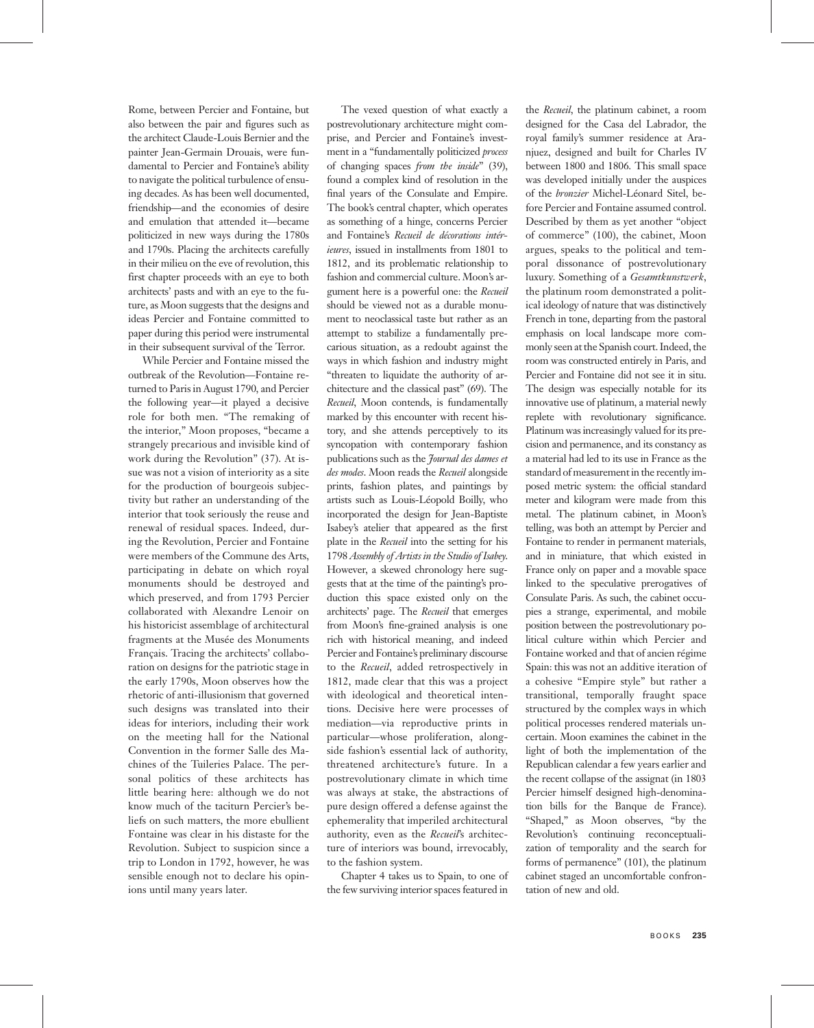Rome, between Percier and Fontaine, but also between the pair and figures such as the architect Claude-Louis Bernier and the painter Jean-Germain Drouais, were fundamental to Percier and Fontaine's ability to navigate the political turbulence of ensuing decades. As has been well documented, friendship—and the economies of desire and emulation that attended it—became politicized in new ways during the 1780s and 1790s. Placing the architects carefully in their milieu on the eve of revolution, this first chapter proceeds with an eye to both architects' pasts and with an eye to the future, as Moon suggests that the designs and ideas Percier and Fontaine committed to paper during this period were instrumental in their subsequent survival of the Terror.

While Percier and Fontaine missed the outbreak of the Revolution—Fontaine returned to Paris in August 1790, and Percier the following year—it played a decisive role for both men. "The remaking of the interior," Moon proposes, "became a strangely precarious and invisible kind of work during the Revolution" (37). At issue was not a vision of interiority as a site for the production of bourgeois subjectivity but rather an understanding of the interior that took seriously the reuse and renewal of residual spaces. Indeed, during the Revolution, Percier and Fontaine were members of the Commune des Arts, participating in debate on which royal monuments should be destroyed and which preserved, and from 1793 Percier collaborated with Alexandre Lenoir on his historicist assemblage of architectural fragments at the Musée des Monuments Français. Tracing the architects' collaboration on designs for the patriotic stage in the early 1790s, Moon observes how the rhetoric of anti-illusionism that governed such designs was translated into their ideas for interiors, including their work on the meeting hall for the National Convention in the former Salle des Machines of the Tuileries Palace. The personal politics of these architects has little bearing here: although we do not know much of the taciturn Percier's beliefs on such matters, the more ebullient Fontaine was clear in his distaste for the Revolution. Subject to suspicion since a trip to London in 1792, however, he was sensible enough not to declare his opinions until many years later.

The vexed question of what exactly a postrevolutionary architecture might comprise, and Percier and Fontaine's investment in a "fundamentally politicized process of changing spaces from the inside" (39), found a complex kind of resolution in the final years of the Consulate and Empire. The book's central chapter, which operates as something of a hinge, concerns Percier and Fontaine's Recueil de décorations intérieures, issued in installments from 1801 to 1812, and its problematic relationship to fashion and commercial culture. Moon's argument here is a powerful one: the Recueil should be viewed not as a durable monument to neoclassical taste but rather as an attempt to stabilize a fundamentally precarious situation, as a redoubt against the ways in which fashion and industry might "threaten to liquidate the authority of architecture and the classical past" (69). The Recueil, Moon contends, is fundamentally marked by this encounter with recent history, and she attends perceptively to its syncopation with contemporary fashion publications such as the Journal des dames et des modes. Moon reads the Recueil alongside prints, fashion plates, and paintings by artists such as Louis-Léopold Boilly, who incorporated the design for Jean-Baptiste Isabey's atelier that appeared as the first plate in the Recueil into the setting for his 1798 Assembly of Artists in the Studio of Isabey. However, a skewed chronology here suggests that at the time of the painting's production this space existed only on the architects' page. The Recueil that emerges from Moon's fine-grained analysis is one rich with historical meaning, and indeed Percier and Fontaine's preliminary discourse to the Recueil, added retrospectively in 1812, made clear that this was a project with ideological and theoretical intentions. Decisive here were processes of mediation—via reproductive prints in particular—whose proliferation, alongside fashion's essential lack of authority, threatened architecture's future. In a postrevolutionary climate in which time was always at stake, the abstractions of pure design offered a defense against the ephemerality that imperiled architectural authority, even as the Recueil's architecture of interiors was bound, irrevocably, to the fashion system.

Chapter 4 takes us to Spain, to one of the few surviving interior spaces featured in

the Recueil, the platinum cabinet, a room designed for the Casa del Labrador, the royal family's summer residence at Aranjuez, designed and built for Charles IV between 1800 and 1806. This small space was developed initially under the auspices of the bronzier Michel-Léonard Sitel, before Percier and Fontaine assumed control. Described by them as yet another "object of commerce" (100), the cabinet, Moon argues, speaks to the political and temporal dissonance of postrevolutionary luxury. Something of a Gesamtkunstwerk, the platinum room demonstrated a political ideology of nature that was distinctively French in tone, departing from the pastoral emphasis on local landscape more commonly seen at the Spanish court. Indeed, the room was constructed entirely in Paris, and Percier and Fontaine did not see it in situ. The design was especially notable for its innovative use of platinum, a material newly replete with revolutionary significance. Platinum was increasingly valued for its precision and permanence, and its constancy as a material had led to its use in France as the standard of measurement in the recently imposed metric system: the official standard meter and kilogram were made from this metal. The platinum cabinet, in Moon's telling, was both an attempt by Percier and Fontaine to render in permanent materials, and in miniature, that which existed in France only on paper and a movable space linked to the speculative prerogatives of Consulate Paris. As such, the cabinet occupies a strange, experimental, and mobile position between the postrevolutionary political culture within which Percier and Fontaine worked and that of ancien régime Spain: this was not an additive iteration of a cohesive "Empire style" but rather a transitional, temporally fraught space structured by the complex ways in which political processes rendered materials uncertain. Moon examines the cabinet in the light of both the implementation of the Republican calendar a few years earlier and the recent collapse of the assignat (in 1803 Percier himself designed high-denomination bills for the Banque de France). "Shaped," as Moon observes, "by the Revolution's continuing reconceptualization of temporality and the search for forms of permanence" (101), the platinum cabinet staged an uncomfortable confrontation of new and old.